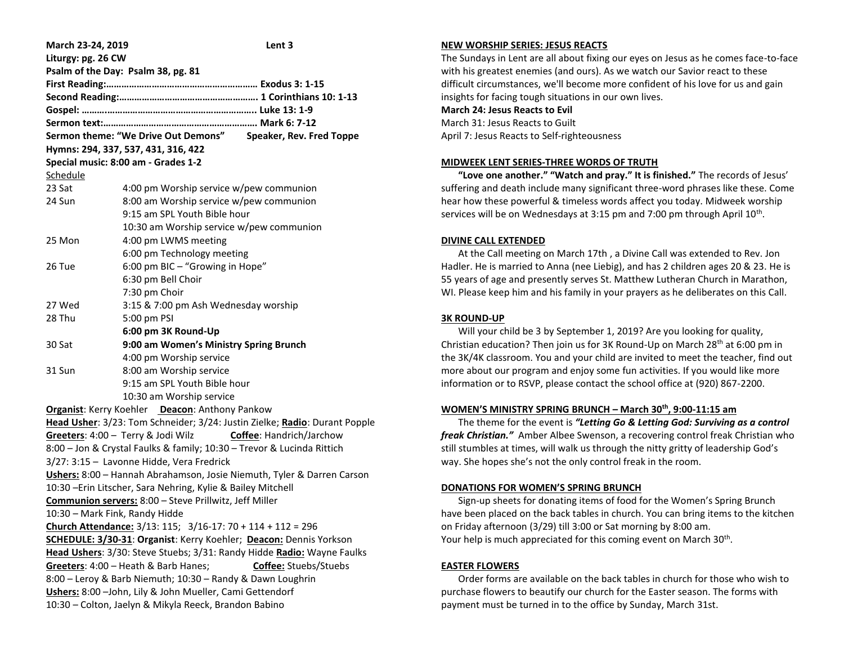| March 23-24, 2019                                                          | Lent 3                                                                     |
|----------------------------------------------------------------------------|----------------------------------------------------------------------------|
| Liturgy: pg. 26 CW                                                         |                                                                            |
|                                                                            | Psalm of the Day: Psalm 38, pg. 81                                         |
|                                                                            |                                                                            |
|                                                                            |                                                                            |
|                                                                            |                                                                            |
|                                                                            |                                                                            |
|                                                                            | Sermon theme: "We Drive Out Demons" Speaker, Rev. Fred Toppe               |
| Hymns: 294, 337, 537, 431, 316, 422<br>Special music: 8:00 am - Grades 1-2 |                                                                            |
|                                                                            |                                                                            |
| Schedule                                                                   |                                                                            |
| 23 Sat                                                                     | 4:00 pm Worship service w/pew communion                                    |
| 24 Sun                                                                     | 8:00 am Worship service w/pew communion                                    |
|                                                                            | 9:15 am SPL Youth Bible hour                                               |
|                                                                            | 10:30 am Worship service w/pew communion                                   |
| 25 Mon                                                                     | 4:00 pm LWMS meeting                                                       |
|                                                                            | 6:00 pm Technology meeting                                                 |
| 26 Tue                                                                     | 6:00 pm BIC - "Growing in Hope"                                            |
|                                                                            | 6:30 pm Bell Choir                                                         |
|                                                                            | 7:30 pm Choir                                                              |
| 27 Wed                                                                     | 3:15 & 7:00 pm Ash Wednesday worship                                       |
| 28 Thu                                                                     | 5:00 pm PSI                                                                |
|                                                                            | 6:00 pm 3K Round-Up                                                        |
| 30 Sat                                                                     | 9:00 am Women's Ministry Spring Brunch                                     |
|                                                                            | 4:00 pm Worship service                                                    |
| 31 Sun                                                                     | 8:00 am Worship service                                                    |
|                                                                            | 9:15 am SPL Youth Bible hour                                               |
|                                                                            | 10:30 am Worship service                                                   |
| Organist: Kerry Koehler Deacon: Anthony Pankow                             |                                                                            |
|                                                                            | Head Usher: 3/23: Tom Schneider; 3/24: Justin Zielke; Radio: Durant Popple |
|                                                                            | Greeters: 4:00 - Terry & Jodi Wilz<br><b>Coffee: Handrich/Jarchow</b>      |
| 8:00 - Jon & Crystal Faulks & family; 10:30 - Trevor & Lucinda Rittich     |                                                                            |
| 3/27: 3:15 - Lavonne Hidde, Vera Fredrick                                  |                                                                            |
| Ushers: 8:00 - Hannah Abrahamson, Josie Niemuth, Tyler & Darren Carson     |                                                                            |
| 10:30 - Erin Litscher, Sara Nehring, Kylie & Bailey Mitchell               |                                                                            |
| Communion servers: 8:00 - Steve Prillwitz, Jeff Miller                     |                                                                            |
| 10:30 - Mark Fink, Randy Hidde                                             |                                                                            |
| Church Attendance: $3/13$ : 115; $3/16$ -17: 70 + 114 + 112 = 296          |                                                                            |
| SCHEDULE: 3/30-31: Organist: Kerry Koehler; Deacon: Dennis Yorkson         |                                                                            |
| Head Ushers: 3/30: Steve Stuebs; 3/31: Randy Hidde Radio: Wayne Faulks     |                                                                            |
| Greeters: 4:00 - Heath & Barb Hanes;<br><b>Coffee:</b> Stuebs/Stuebs       |                                                                            |
| 8:00 - Leroy & Barb Niemuth; 10:30 - Randy & Dawn Loughrin                 |                                                                            |
| Ushers: 8:00 - John, Lily & John Mueller, Cami Gettendorf                  |                                                                            |
| 10:30 - Colton, Jaelyn & Mikyla Reeck, Brandon Babino                      |                                                                            |

## **NEW WORSHIP SERIES: JESUS REACTS**

The Sundays in Lent are all about fixing our eyes on Jesus as he comes face-to-face with his greatest enemies (and ours). As we watch our Savior react to these difficult circumstances, we'll become more confident of his love for us and gain insights for facing tough situations in our own lives.

# **March 24: Jesus Reacts to Evil**

March 31: Jesus Reacts to Guilt April 7: Jesus Reacts to Self-righteousness

#### **MIDWEEK LENT SERIES-THREE WORDS OF TRUTH**

 **"Love one another." "Watch and pray." It is finished."** The records of Jesus' suffering and death include many significant three-word phrases like these. Come hear how these powerful & timeless words affect you today. Midweek worship services will be on Wednesdays at 3:15 pm and 7:00 pm through April  $10^{\text{th}}$ .

### **DIVINE CALL EXTENDED**

 At the Call meeting on March 17th , a Divine Call was extended to Rev. Jon Hadler. He is married to Anna (nee Liebig), and has 2 children ages 20 & 23. He is 55 years of age and presently serves St. Matthew Lutheran Church in Marathon, WI. Please keep him and his family in your prayers as he deliberates on this Call.

### **3K ROUND-UP**

 Will your child be 3 by September 1, 2019? Are you looking for quality, Christian education? Then join us for 3K Round-Up on March 28th at 6:00 pm in the 3K/4K classroom. You and your child are invited to meet the teacher, find out more about our program and enjoy some fun activities. If you would like more information or to RSVP, please contact the school office at (920) 867-2200.

### **WOMEN'S MINISTRY SPRING BRUNCH – March 30th, 9:00-11:15 am**

 The theme for the event is *"Letting Go & Letting God: Surviving as a control freak Christian."* Amber Albee Swenson, a recovering control freak Christian who still stumbles at times, will walk us through the nitty gritty of leadership God's way. She hopes she's not the only control freak in the room.

### **DONATIONS FOR WOMEN'S SPRING BRUNCH**

 Sign-up sheets for donating items of food for the Women's Spring Brunch have been placed on the back tables in church. You can bring items to the kitchen on Friday afternoon (3/29) till 3:00 or Sat morning by 8:00 am. Your help is much appreciated for this coming event on March 30<sup>th</sup>.

### **EASTER FLOWERS**

 Order forms are available on the back tables in church for those who wish to purchase flowers to beautify our church for the Easter season. The forms with payment must be turned in to the office by Sunday, March 31st.